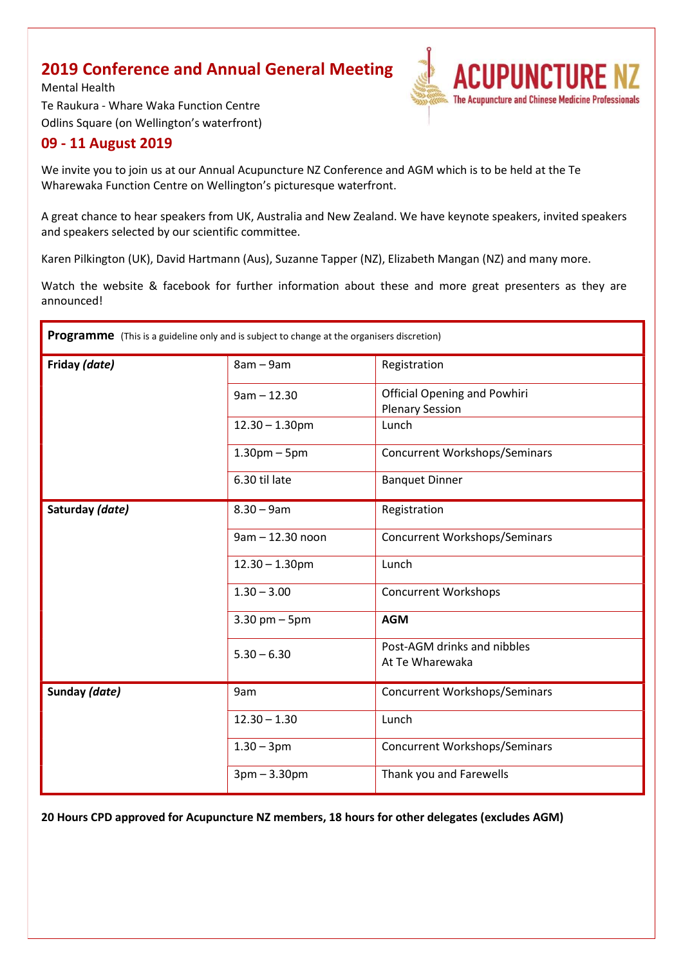### 2019 Conference and Annual General Meeting

**ACUPUNCTURE** The Acupuncture and Chinese Medicine Professionals

Mental Health Te Raukura - Whare Waka Function Centre Odlins Square (on Wellington's waterfront)

#### 09 - 11 August 2019

We invite you to join us at our Annual Acupuncture NZ Conference and AGM which is to be held at the Te Wharewaka Function Centre on Wellington's picturesque waterfront.

A great chance to hear speakers from UK, Australia and New Zealand. We have keynote speakers, invited speakers and speakers selected by our scientific committee.

Karen Pilkington (UK), David Hartmann (Aus), Suzanne Tapper (NZ), Elizabeth Mangan (NZ) and many more.

Watch the website & facebook for further information about these and more great presenters as they are announced!

| Programme (This is a guideline only and is subject to change at the organisers discretion) |                   |                                                               |  |  |  |  |  |  |
|--------------------------------------------------------------------------------------------|-------------------|---------------------------------------------------------------|--|--|--|--|--|--|
| Friday (date)                                                                              | $8am - 9am$       | Registration                                                  |  |  |  |  |  |  |
|                                                                                            | $9am - 12.30$     | <b>Official Opening and Powhiri</b><br><b>Plenary Session</b> |  |  |  |  |  |  |
|                                                                                            | $12.30 - 1.30$ pm | Lunch                                                         |  |  |  |  |  |  |
|                                                                                            | $1.30pm - 5pm$    | <b>Concurrent Workshops/Seminars</b>                          |  |  |  |  |  |  |
|                                                                                            | 6.30 til late     | <b>Banquet Dinner</b>                                         |  |  |  |  |  |  |
| Saturday (date)                                                                            | $8.30 - 9am$      | Registration                                                  |  |  |  |  |  |  |
|                                                                                            | 9am - 12.30 noon  | <b>Concurrent Workshops/Seminars</b>                          |  |  |  |  |  |  |
|                                                                                            | $12.30 - 1.30$ pm | Lunch                                                         |  |  |  |  |  |  |
|                                                                                            | $1.30 - 3.00$     | <b>Concurrent Workshops</b>                                   |  |  |  |  |  |  |
|                                                                                            | $3.30$ pm $-5$ pm | <b>AGM</b>                                                    |  |  |  |  |  |  |
|                                                                                            | $5.30 - 6.30$     | Post-AGM drinks and nibbles<br>At Te Wharewaka                |  |  |  |  |  |  |
| Sunday (date)                                                                              | 9am               | <b>Concurrent Workshops/Seminars</b>                          |  |  |  |  |  |  |
|                                                                                            | $12.30 - 1.30$    | Lunch                                                         |  |  |  |  |  |  |
|                                                                                            | $1.30 - 3pm$      | <b>Concurrent Workshops/Seminars</b>                          |  |  |  |  |  |  |
|                                                                                            | $3pm - 3.30pm$    | Thank you and Farewells                                       |  |  |  |  |  |  |

20 Hours CPD approved for Acupuncture NZ members, 18 hours for other delegates (excludes AGM)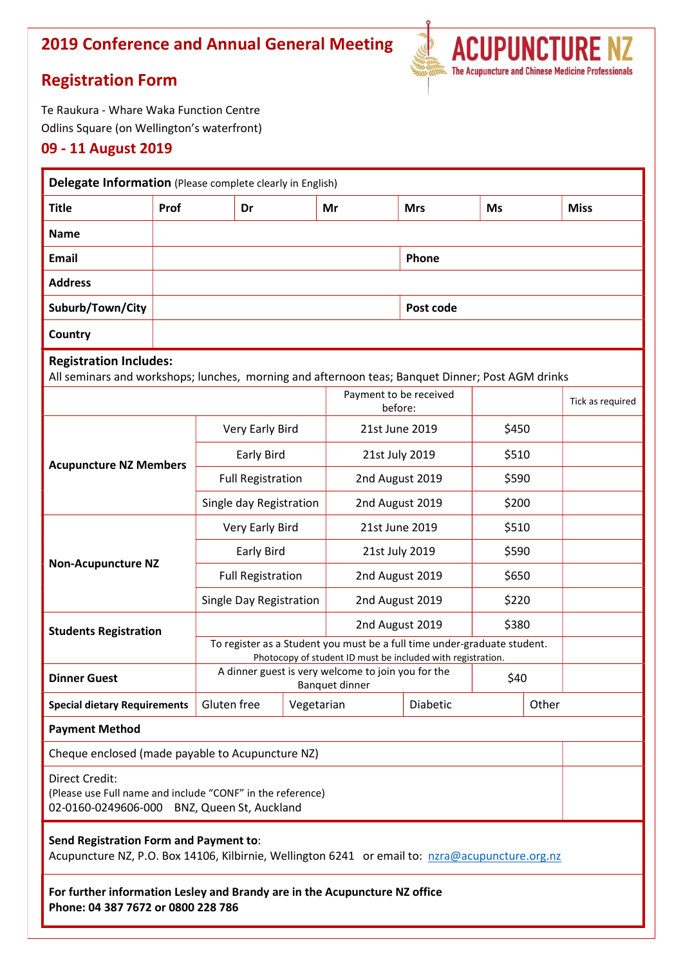# 2019 Conference and Annual General Meeting



VZ

## Registration Form

Te Raukura - Whare Waka Function Centre Odlins Square (on Wellington's waterfront)

#### 09 - 11 August 2019

| Delegate Information (Please complete clearly in English)                                                                                 |      |                                                                                                                                         |  |                 |            |                                   |  |             |  |  |  |
|-------------------------------------------------------------------------------------------------------------------------------------------|------|-----------------------------------------------------------------------------------------------------------------------------------------|--|-----------------|------------|-----------------------------------|--|-------------|--|--|--|
| <b>Title</b>                                                                                                                              | Prof | Dr                                                                                                                                      |  | Mr              | <b>Mrs</b> | Ms                                |  | <b>Miss</b> |  |  |  |
| <b>Name</b>                                                                                                                               |      |                                                                                                                                         |  |                 |            |                                   |  |             |  |  |  |
| Email                                                                                                                                     |      |                                                                                                                                         |  |                 | Phone      |                                   |  |             |  |  |  |
| <b>Address</b>                                                                                                                            |      |                                                                                                                                         |  |                 |            |                                   |  |             |  |  |  |
| Suburb/Town/City                                                                                                                          |      |                                                                                                                                         |  |                 | Post code  |                                   |  |             |  |  |  |
| Country                                                                                                                                   |      |                                                                                                                                         |  |                 |            |                                   |  |             |  |  |  |
| <b>Registration Includes:</b><br>All seminars and workshops; lunches, morning and afternoon teas; Banquet Dinner; Post AGM drinks         |      |                                                                                                                                         |  |                 |            |                                   |  |             |  |  |  |
|                                                                                                                                           |      |                                                                                                                                         |  |                 |            | Payment to be received<br>before: |  |             |  |  |  |
| <b>Acupuncture NZ Members</b>                                                                                                             |      | Very Early Bird                                                                                                                         |  | 21st June 2019  |            | \$450                             |  |             |  |  |  |
|                                                                                                                                           |      | Early Bird                                                                                                                              |  | 21st July 2019  |            | \$510                             |  |             |  |  |  |
|                                                                                                                                           |      | <b>Full Registration</b>                                                                                                                |  | 2nd August 2019 |            | \$590                             |  |             |  |  |  |
|                                                                                                                                           |      | Single day Registration                                                                                                                 |  | 2nd August 2019 |            | \$200                             |  |             |  |  |  |
| <b>Non-Acupuncture NZ</b>                                                                                                                 |      | Very Early Bird                                                                                                                         |  | 21st June 2019  |            | \$510                             |  |             |  |  |  |
|                                                                                                                                           |      | Early Bird                                                                                                                              |  | 21st July 2019  |            | \$590                             |  |             |  |  |  |
|                                                                                                                                           |      | <b>Full Registration</b>                                                                                                                |  | 2nd August 2019 |            | \$650                             |  |             |  |  |  |
|                                                                                                                                           |      | Single Day Registration                                                                                                                 |  | 2nd August 2019 |            | \$220                             |  |             |  |  |  |
| <b>Students Registration</b>                                                                                                              |      |                                                                                                                                         |  | 2nd August 2019 | \$380      |                                   |  |             |  |  |  |
|                                                                                                                                           |      | To register as a Student you must be a full time under-graduate student.<br>Photocopy of student ID must be included with registration. |  |                 |            |                                   |  |             |  |  |  |
| <b>Dinner Guest</b>                                                                                                                       |      | A dinner guest is very welcome to join you for the<br>Banquet dinner                                                                    |  |                 | \$40       |                                   |  |             |  |  |  |
| <b>Special dietary Requirements</b>                                                                                                       |      | Gluten free<br>Vegetarian                                                                                                               |  | Diabetic        |            | Other                             |  |             |  |  |  |
| <b>Payment Method</b>                                                                                                                     |      |                                                                                                                                         |  |                 |            |                                   |  |             |  |  |  |
| Cheque enclosed (made payable to Acupuncture NZ)                                                                                          |      |                                                                                                                                         |  |                 |            |                                   |  |             |  |  |  |
| <b>Direct Credit:</b><br>(Please use Full name and include "CONF" in the reference)<br>02-0160-0249606-000 BNZ, Queen St, Auckland        |      |                                                                                                                                         |  |                 |            |                                   |  |             |  |  |  |
| Send Registration Form and Payment to:<br>Acupuncture NZ, P.O. Box 14106, Kilbirnie, Wellington 6241 or email to: nzra@acupuncture.org.nz |      |                                                                                                                                         |  |                 |            |                                   |  |             |  |  |  |
| For further information Lesley and Brandy are in the Acupuncture NZ office<br>Phone: 04 387 7672 or 0800 228 786                          |      |                                                                                                                                         |  |                 |            |                                   |  |             |  |  |  |